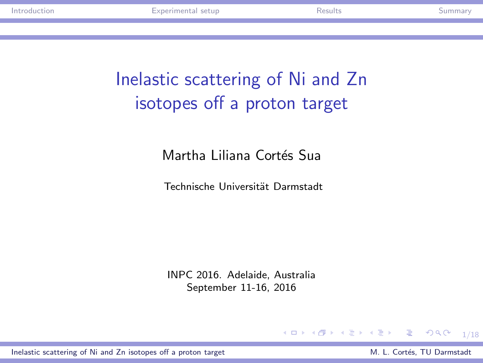# Inelastic scattering of Ni and Zn isotopes off a proton target

Martha Liliana Cortés Sua

Technische Universität Darmstadt

INPC 2016. Adelaide, Australia September 11-16, 2016

#### K ロ ▶ K @ ▶ K 할 ▶ K 할 ▶ 이 할 → 9 Q @ 1/18

<span id="page-0-0"></span>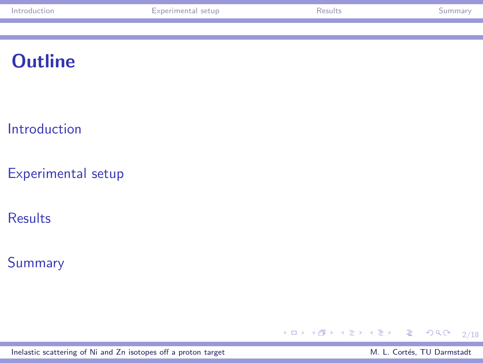| tion<br>. | setur<br>лтан | ,,,,, |  |
|-----------|---------------|-------|--|
|           |               |       |  |

# **Outline**

[Introduction](#page-2-0)

[Experimental setup](#page-7-0)

[Results](#page-10-0)

[Summary](#page-15-0)



[Inelastic scattering of Ni and Zn isotopes off a proton target](#page-0-0) M. L. Cortés, TU Darmstadt

<span id="page-1-0"></span>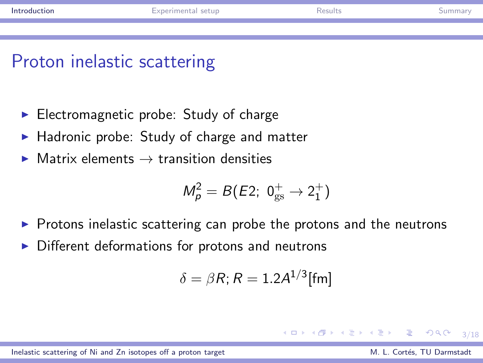# Proton inelastic scattering

- $\blacktriangleright$  Electromagnetic probe: Study of charge
- ▶ Hadronic probe: Study of charge and matter
- $\triangleright$  Matrix elements  $\rightarrow$  transition densities

$$
M_p^2 = B(E2; 0^+_{gs} \rightarrow 2^+_1)
$$

- ▶ Protons inelastic scattering can probe the protons and the neutrons
- ▶ Different deformations for protons and neutrons

$$
\delta = \beta R; R = 1.2A^{1/3}[\text{fm}]
$$

[Inelastic scattering of Ni and Zn isotopes off a proton target](#page-0-0) M. Cortés, TU Darmstadt M. L. Cortés, TU Darmstadt

重量

<span id="page-2-0"></span> $2990$ 

化重变 化重变性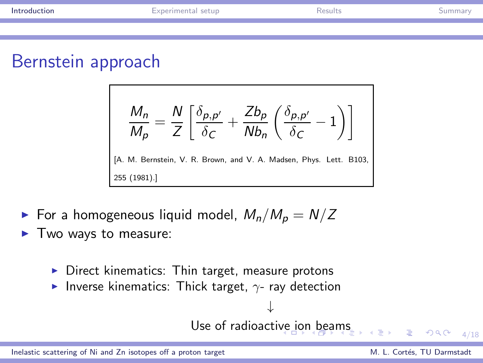## Bernstein approach

$$
\frac{M_n}{M_p} = \frac{N}{Z} \left[ \frac{\delta_{p,p'}}{\delta_C} + \frac{Zb_p}{Nb_n} \left( \frac{\delta_{p,p'}}{\delta_C} - 1 \right) \right]
$$
  
[A. M. Bernstein, V. R. Brown, and V. A. Madsen, Phys. Lett. B103, 255 (1981).]

 $\blacktriangleright$  For a homogeneous liquid model,  $M_n/M_p = N/Z$ 

- $\blacktriangleright$  Two ways to measure:
	- $\triangleright$  Direct kinematics: Thin target, measure protons
	- $▶$  Inverse kinematics: Thick target,  $\gamma$  ray detection

↓ Use of radioacti[ve](#page-2-0)i[on](#page-4-0) [be](#page-3-0)[a](#page-4-0)[m](#page-1-0)[s](#page-2-0)

÷.

<span id="page-3-0"></span> $999 - 4/18$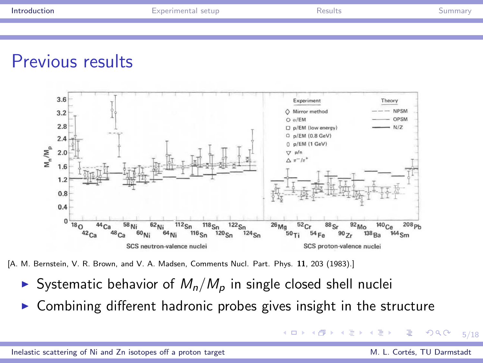### Previous results



[A. M. Bernstein, V. R. Brown, and V. A. Madsen, Comments Nucl. Part. Phys. 11, 203 (1983).]

- Systematic behavior of  $M_n/M_p$  in single closed shell nuclei
- $\triangleright$  Combining different hadronic probes gives insight in the structure

<span id="page-4-0"></span> $QQ$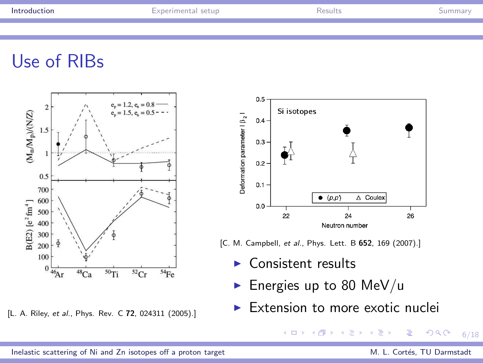# Use of RIBs



[L. A. Riley, et al., Phys. Rev. C 72, 024311 (2005).]



[C. M. Campbell, et al., Phys. Lett. B 652, 169 (2007).]

 $\blacktriangleright$  Consistent results

4 0 8

- Energies up to 80 MeV/u
- ▶ Extension to more exotic nuclei

 $\mathbf{A} = \mathbf{A} \oplus \mathbf{A} \oplus \mathbf{A} \oplus \mathbf{A}$ 

 $299$ 

E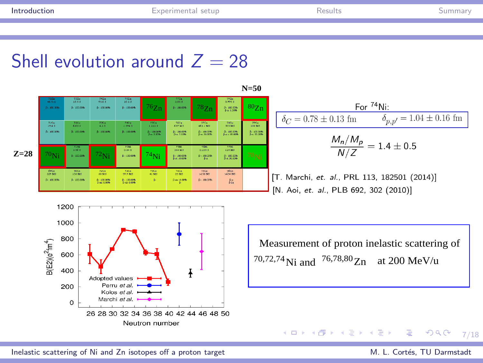# Shell evolution around  $Z = 28$

**Z=28**



**N=50**

<span id="page-6-0"></span>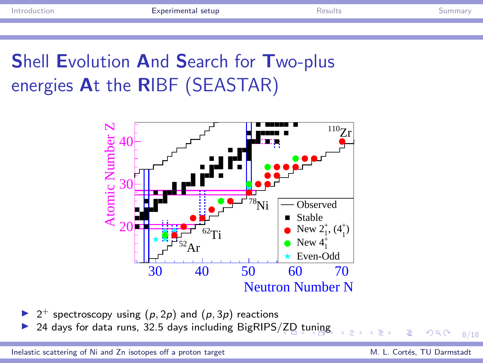# Shell Evolution And Search for Two-plus energies At the RIBF (SEASTAR)



▶ 2<sup>+</sup> spectroscopy using  $(p, 2p)$  and  $(p, 3p)$  reactions

24 days for data runs, 32.5 days including BigRIPS[/ZD](#page-6-0) [t](#page-8-0)[un](#page-6-0)[ing](#page-7-0)

[Inelastic scattering of Ni and Zn isotopes off a proton target](#page-0-0) M. Cortés, TU Darmstadt M. L. Cortés, TU Darmstadt

<span id="page-7-0"></span> $QQ$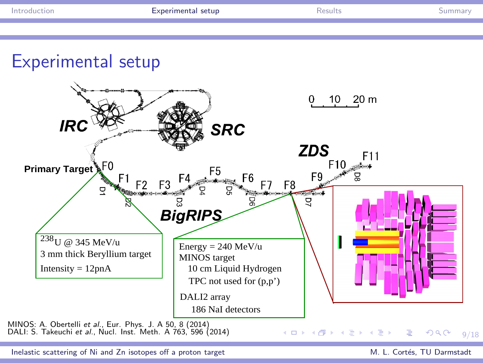

<span id="page-8-0"></span>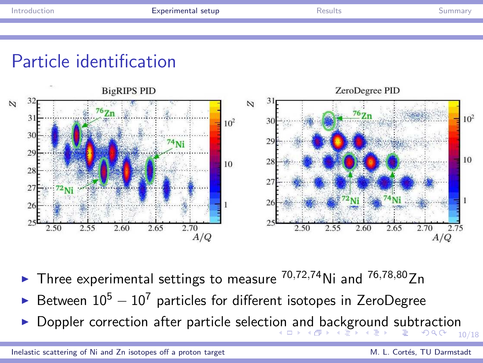<span id="page-9-0"></span>

# Particle identification



- Three experimental settings to measure  $^{70,72,74}$ Ni and  $^{76,78,80}$ Zn
- Between  $10^5 10^7$  particles for different isotopes in ZeroDegree
- 10/18 ◮ Doppler correction after particle selecti[on](#page-8-0) [an](#page-10-0)[d](#page-8-0) [b](#page-9-0)[a](#page-10-0)[c](#page-6-0)[k](#page-7-0)[g](#page-9-0)[r](#page-10-0)[ou](#page-6-0)[n](#page-9-0)[d](#page-10-0) [su](#page-0-0)[bt](#page-17-0)raction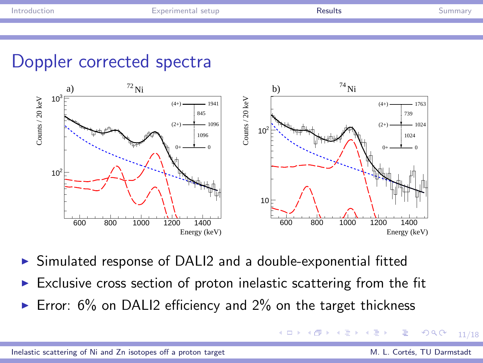# Doppler corrected spectra



- ▶ Simulated response of DALI2 and a double-exponential fitted
- $\triangleright$  Exclusive cross section of proton inelastic scattering from the fit
- Error:  $6\%$  on DALI2 efficiency and  $2\%$  on the target thickness

<span id="page-10-0"></span> $\Omega$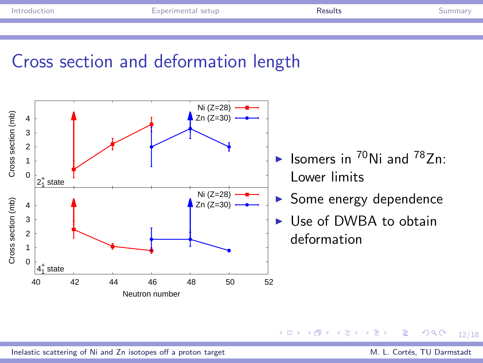# Cross section and deformation length



#### **K ロ ト K 何 ト K ヨ**  $QQ$ 12/18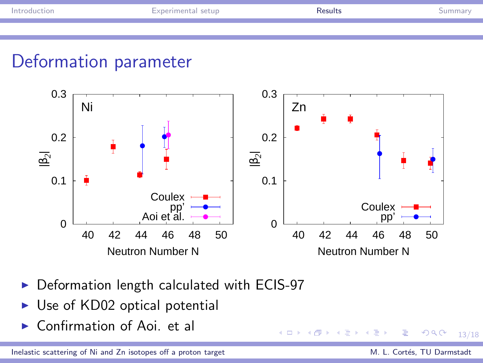# Deformation parameter



そロト

- ▶ Deformation length calculated with ECIS-97
- $\triangleright$  Use of KD02 optical potential
- $\triangleright$  Confirmation of Aoi. et all

[Inelastic scattering of Ni and Zn isotopes off a proton target](#page-0-0) M. Cortés, TU Darmstadt M. L. Cortés, TU Darmstadt

Ξ

 $QQ$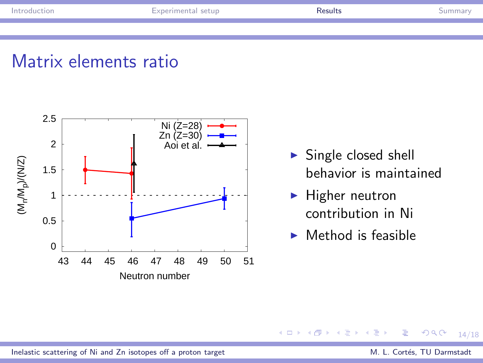### Matrix elements ratio



- $\triangleright$  Single closed shell behavior is maintained
- $\blacktriangleright$  Higher neutron contribution in Ni
- $\blacktriangleright$  Method is feasible

#### $QQ$ (□ ) ( ) + ) ∍ 14/18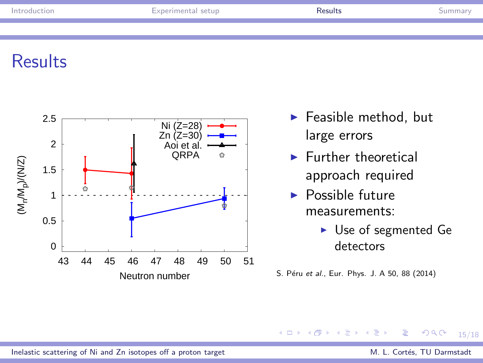# **Results**



- $\blacktriangleright$  Feasible method, but large errors
- $\blacktriangleright$  Further theoretical approach required
- $\blacktriangleright$  Possible future measurements:
	- ► Use of segmented Ge detectors

S. Péru et al., Eur. Phys. J. A 50, 88 (2014)

#### $QQ$ (□ ) ( ) + ) ∍ 15/18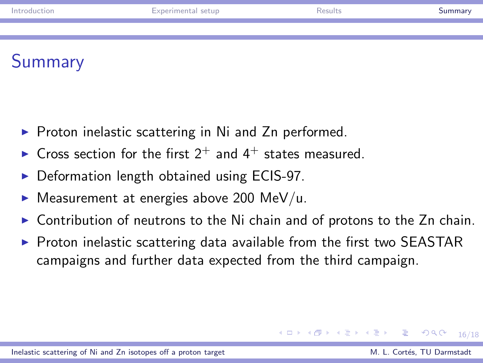# **Summary**

- $\triangleright$  Proton inelastic scattering in Ni and Zn performed.
- $\triangleright$  Cross section for the first 2<sup>+</sup> and 4<sup>+</sup> states measured.
- ▶ Deformation length obtained using ECIS-97.
- $\blacktriangleright$  Measurement at energies above 200 MeV/u.
- Contribution of neutrons to the Ni chain and of protons to the Zn chain.
- $\triangleright$  Proton inelastic scattering data available from the first two SEASTAR campaigns and further data expected from the third campaign.

#### [Inelastic scattering of Ni and Zn isotopes off a proton target](#page-0-0) M. Cortés, TU Darmstadt M. L. Cortés, TU Darmstadt

イロト イ何 ト イヨ ト イヨ トー ヨー

<span id="page-15-0"></span> $QQ$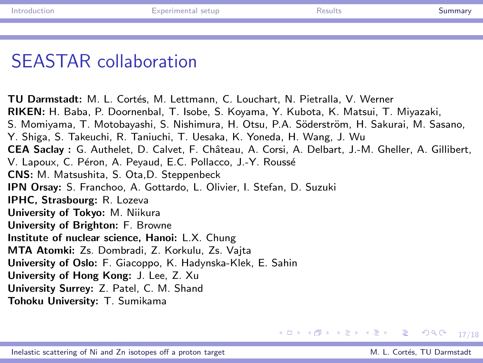# SEASTAR collaboration

TU Darmstadt: M. L. Cortés, M. Lettmann, C. Louchart, N. Pietralla, V. Werner RIKEN: H. Baba, P. Doornenbal, T. Isobe, S. Koyama, Y. Kubota, K. Matsui, T. Miyazaki, S. Momiyama, T. Motobayashi, S. Nishimura, H. Otsu, P.A. Söderström, H. Sakurai, M. Sasano, Y. Shiga, S. Takeuchi, R. Taniuchi, T. Uesaka, K. Yoneda, H. Wang, J. Wu CEA Saclay : G. Authelet, D. Calvet, F. Chˆateau, A. Corsi, A. Delbart, J.-M. Gheller, A. Gillibert, V. Lapoux, C. Péron, A. Peyaud, E.C. Pollacco, J.-Y. Roussé CNS: M. Matsushita, S. Ota,D. Steppenbeck IPN Orsay: S. Franchoo, A. Gottardo, L. Olivier, I. Stefan, D. Suzuki IPHC, Strasbourg: R. Lozeva University of Tokyo: M. Niikura University of Brighton: F. Browne Institute of nuclear science, Hanoi: L.X. Chung MTA Atomki: Zs. Dombradi, Z. Korkulu, Zs. Vajta University of Oslo: F. Giacoppo, K. Hadynska-Klek, E. Sahin University of Hong Kong: J. Lee, Z. Xu University Surrey: Z. Patel, C. M. Shand

Tohoku University: T. Sumikama

 $\equiv$ 

 $\left\{ \begin{array}{ccc} 1 & 0 & 0 \\ 0 & 1 & 0 \end{array} \right.$ 

 $990 - 17/18$